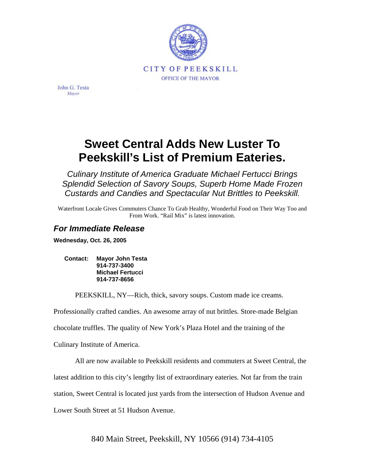

John G. Testa Mayor

## **Sweet Central Adds New Luster To Peekskill's List of Premium Eateries.**

*Culinary Institute of America Graduate Michael Fertucci Brings Splendid Selection of Savory Soups, Superb Home Made Frozen Custards and Candies and Spectacular Nut Brittles to Peekskill.* 

Waterfront Locale Gives Commuters Chance To Grab Healthy, Wonderful Food on Their Way Too and From Work. "Rail Mix" is latest innovation.

## *For Immediate Release*

**Wednesday, Oct. 26, 2005** 

**Contact: Mayor John Testa 914-737-3400 Michael Fertucci 914-737-8656** 

PEEKSKILL, NY—Rich, thick, savory soups. Custom made ice creams.

Professionally crafted candies. An awesome array of nut brittles. Store-made Belgian

chocolate truffles. The quality of New York's Plaza Hotel and the training of the

Culinary Institute of America.

All are now available to Peekskill residents and commuters at Sweet Central, the

latest addition to this city's lengthy list of extraordinary eateries. Not far from the train

station, Sweet Central is located just yards from the intersection of Hudson Avenue and

Lower South Street at 51 Hudson Avenue.

840 Main Street, Peekskill, NY 10566 (914) 734-4105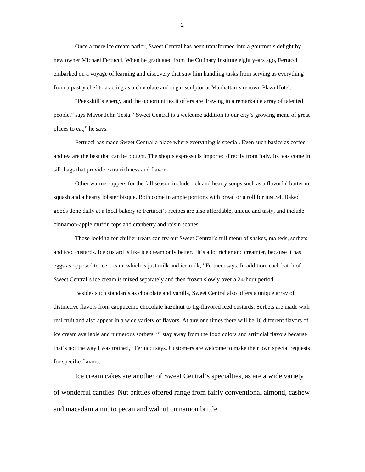Once a mere ice cream parlor, Sweet Central has been transformed into a gourmet's delight by new owner Michael Fertucci. When he graduated from the Culinary Institute eight years ago, Fertucci embarked on a voyage of learning and discovery that saw him handling tasks from serving as everything from a pastry chef to a acting as a chocolate and sugar sculptor at Manhattan's renown Plaza Hotel.

"Peekskill's energy and the opportunities it offers are drawing in a remarkable array of talented people," says Mayor John Testa. "Sweet Central is a welcome addition to our city's growing menu of great places to eat," he says.

Fertucci has made Sweet Central a place where everything is special. Even such basics as coffee and tea are the best that can be bought. The shop's espresso is imported directly from Italy. Its teas come in silk bags that provide extra richness and flavor.

Other warmer-uppers for the fall season include rich and hearty soups such as a flavorful butternut squash and a hearty lobster bisque. Both come in ample portions with bread or a roll for just \$4. Baked goods done daily at a local bakery to Fertucci's recipes are also affordable, unique and tasty, and include cinnamon-apple muffin tops and cranberry and raisin scones.

Those looking for chillier treats can try out Sweet Central's full menu of shakes, malteds, sorbets and iced custards. Ice custard is like ice cream only better. "It's a lot richer and creamier, because it has eggs as opposed to ice cream, which is just milk and ice milk," Fertucci says. In addition, each batch of Sweet Central's ice cream is mixed separately and then frozen slowly over a 24-hour period.

Besides such standards as chocolate and vanilla, Sweet Central also offers a unique array of distinctive flavors from cappuccino chocolate hazelnut to fig-flavored iced custards. Sorbets are made with real fruit and also appear in a wide variety of flavors. At any one times there will be 16 different flavors of ice cream available and numerous sorbets. "I stay away from the food colors and artificial flavors because that's not the way I was trained," Fertucci says. Customers are welcome to make their own special requests for specific flavors.

Ice cream cakes are another of Sweet Central's specialties, as are a wide variety of wonderful candies. Nut brittles offered range from fairly conventional almond, cashew and macadamia nut to pecan and walnut cinnamon brittle.

2